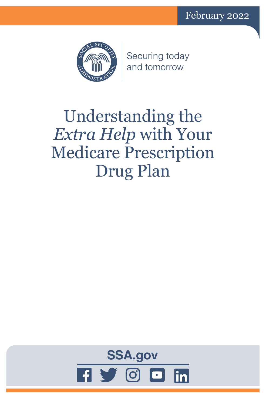

Securing today and tomorrow

# Understanding the *Extra Help* with Your Medicare Prescription Drug Plan

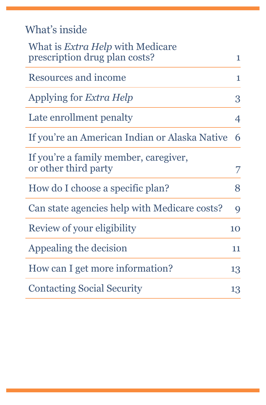| What's inside |  |  |
|---------------|--|--|
|               |  |  |
|               |  |  |

| What is <i>Extra Help</i> with Medicare<br>prescription drug plan costs? | $\mathbf{1}$    |
|--------------------------------------------------------------------------|-----------------|
| Resources and income                                                     | 1               |
| Applying for <i>Extra Help</i>                                           | 3               |
| Late enrollment penalty                                                  | 4               |
| If you're an American Indian or Alaska Native                            | 6               |
| If you're a family member, caregiver,<br>or other third party            | 7               |
| How do I choose a specific plan?                                         | 8               |
| Can state agencies help with Medicare costs?                             | 9               |
| Review of your eligibility                                               | 10 <sup>1</sup> |
| Appealing the decision                                                   | 11              |
| How can I get more information?                                          | 13              |
| <b>Contacting Social Security</b>                                        | 13              |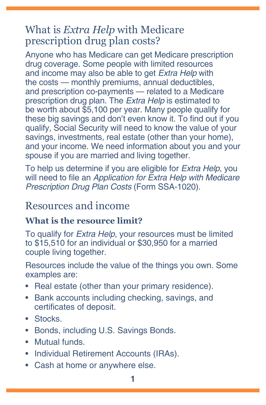## <span id="page-4-0"></span>What is *Extra Help* with Medicare prescription drug plan costs?

Anyone who has Medicare can get Medicare prescription drug coverage. Some people with limited resources and income may also be able to get *Extra Help* with the costs — monthly premiums, annual deductibles, and prescription co-payments — related to a Medicare prescription drug plan. The *Extra Help* is estimated to be worth about \$5,100 per year. Many people qualify for these big savings and don't even know it. To find out if you qualify, Social Security will need to know the value of your savings, investments, real estate (other than your home), and your income. We need information about you and your spouse if you are married and living together.

To help us determine if you are eligible for *Extra Help*, you will need to file an *[Application for Extra Help with Medicare](https://secure.ssa.gov/i1020/start)  [Prescription Drug Plan Costs](https://secure.ssa.gov/i1020/start)* (Form SSA-1020).

### <span id="page-4-1"></span>Resources and income

#### **What is the resource limit?**

To qualify for *Extra Help*, your resources must be limited to \$15,510 for an individual or \$30,950 for a married couple living together.

Resources include the value of the things you own. Some examples are:

- Real estate (other than your primary residence).
- Bank accounts including checking, savings, and certificates of deposit.
- Stocks.
- Bonds, including U.S. Savings Bonds.
- Mutual funds.
- Individual Retirement Accounts (IRAs).
- Cash at home or anywhere else.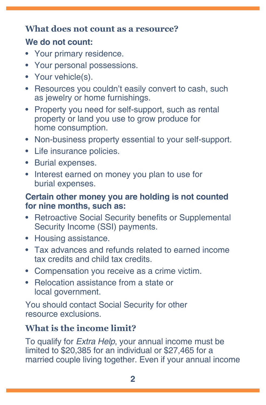#### **What does not count as a resource?**

#### **We do not count:**

- Your primary residence.
- Your personal possessions.
- Your vehicle(s).
- Resources you couldn't easily convert to cash, such as jewelry or home furnishings.
- Property you need for self-support, such as rental property or land you use to grow produce for home consumption.
- Non-business property essential to your self-support.
- Life insurance policies.
- Burial expenses.
- Interest earned on money you plan to use for burial expenses.

#### **Certain other money you are holding is not counted for nine months, such as:**

- Retroactive Social Security benefits or Supplemental Security Income (SSI) payments.
- Housing assistance.
- Tax advances and refunds related to earned income tax credits and child tax credits.
- Compensation you receive as a crime victim.
- Relocation assistance from a state or local government.

You should contact Social Security for other resource exclusions.

#### **What is the income limit?**

To qualify for *Extra Help*, your annual income must be limited to \$20,385 for an individual or \$27,465 for a married couple living together. Even if your annual income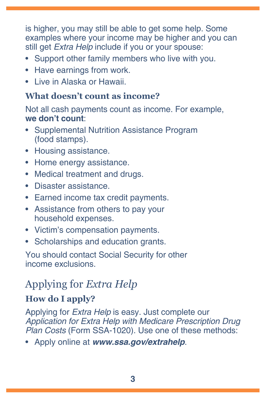<span id="page-6-0"></span>is higher, you may still be able to get some help. Some examples where your income may be higher and you can still get *Extra Help* include if you or your spouse:

- Support other family members who live with you.
- Have earnings from work.
- Live in Alaska or Hawaii.

#### **What doesn't count as income?**

Not all cash payments count as income. For example, **we don't count**:

- Supplemental Nutrition Assistance Program (food stamps).
- Housing assistance.
- Home energy assistance.
- Medical treatment and drugs.
- Disaster assistance.
- Earned income tax credit payments.
- Assistance from others to pay your household expenses.
- Victim's compensation payments.
- Scholarships and education grants.

You should contact Social Security for other income exclusions.

## Applying for *Extra Help*

#### **How do I apply?**

Applying for *Extra Help* is easy. Just complete our *[Application for Extra Help with Medicare Prescription Drug](https://secure.ssa.gov/i1020/start)  Plan Costs* [\(Form SSA-1020\).](https://secure.ssa.gov/i1020/start) Use one of these methods:

• Apply online at *[www.ssa.gov/extrahelp](https://www.ssa.gov/extrahelp)*.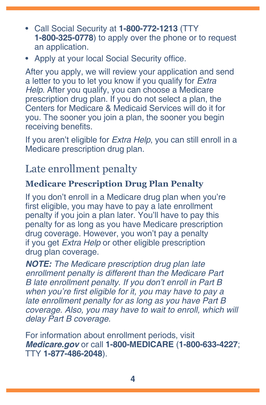- <span id="page-7-0"></span>• Call Social Security at **1-800-772-1213** (TTY **1-800-325-0778**) to apply over the phone or to request an application.
- Apply at your local Social Security office.

After you apply, we will review your application and send a letter to you to let you know if you qualify for *Extra Help*. After you qualify, you can choose a Medicare prescription drug plan. If you do not select a plan, the Centers for Medicare & Medicaid Services will do it for you. The sooner you join a plan, the sooner you begin receiving benefits.

If you aren't eligible for *Extra Help*, you can still enroll in a Medicare prescription drug plan.

## Late enrollment penalty

#### **Medicare Prescription Drug Plan Penalty**

If you don't enroll in a Medicare drug plan when you're first eligible, you may have to pay a late enrollment penalty if you join a plan later. You'll have to pay this penalty for as long as you have Medicare prescription drug coverage. However, you won't pay a penalty if you get *Extra Help* or other eligible prescription drug plan coverage.

*NOTE: The Medicare prescription drug plan late enrollment penalty is different than the Medicare Part B late enrollment penalty. If you don't enroll in Part B*  when you're first eligible for it, you may have to pay a late enrollment penalty for as long as you have Part B coverage. Also, you may have to wait to enroll, which will delay Part B coverage.

For information about enrollment periods, visit *M[edicare.gov](https://www.medicare.gov)* or call **1-800-MEDICARE** (**1-800-633-4227**; TTY **1-877-486-2048**).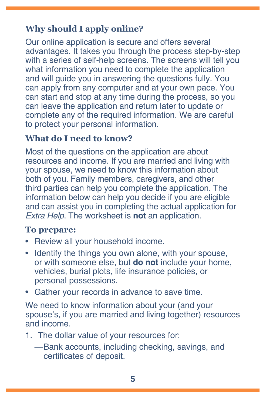#### <span id="page-8-0"></span>**Why should I apply online?**

Our online application is secure and offers several advantages. It takes you through the process step-by-step with a series of self-help screens. The screens will tell you what information you need to complete the application and will guide you in answering the questions fully. You can apply from any computer and at your own pace. You can start and stop at any time during the process, so you can leave the application and return later to update or complete any of the required information. We are careful to protect your personal information.

#### **What do I need to know?**

Most of the questions on the application are about resources and income. If you are married and living with your spouse, we need to know this information about both of you. Family members, caregivers, and other third parties can help you complete the application. The information below can help you decide if you are eligible and can assist you in completing the actual application for *Extra Help*. The worksheet is **not** an application.

#### **To prepare:**

- Review all your household income.
- Identify the things you own alone, with your spouse, or with someone else, but **do not** include your home, vehicles, burial plots, life insurance policies, or personal possessions.
- Gather your records in advance to save time.

We need to know information about your (and your spouse's, if you are married and living together) resources and income.

- 1. The dollar value of your resources for:
	- —Bank accounts, including checking, savings, and certificates of deposit.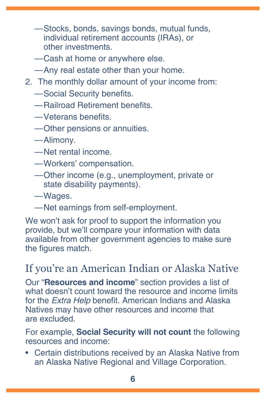- <span id="page-9-0"></span>—Stocks, bonds, savings bonds, mutual funds, individual retirement accounts (IRAs), or other investments.
- —Cash at home or anywhere else.
- —Any real estate other than your home.
- 2. The monthly dollar amount of your income from:
	- —Social Security benefits.
	- —Railroad Retirement benefits.
	- —Veterans benefits.
	- —Other pensions or annuities.
	- —Alimony.
	- —Net rental income.
	- —Workers' compensation.
	- —Other income (e.g., unemployment, private or state disability payments).
	- —Wages.
	- —Net earnings from self-employment.

We won't ask for proof to support the information you provide, but we'll compare your information with data available from other government agencies to make sure the figures match.

## If you're an American Indian or Alaska Native

Our "**[Resources and income](#page-4-1)**" section provides a list of what doesn't count toward the resource and income limits for the *Extra Help* benefit. American Indians and Alaska Natives may have other resources and income that are excluded.

For example, **Social Security will not count** the following resources and income:

• Certain distributions received by an Alaska Native from an Alaska Native Regional and Village Corporation.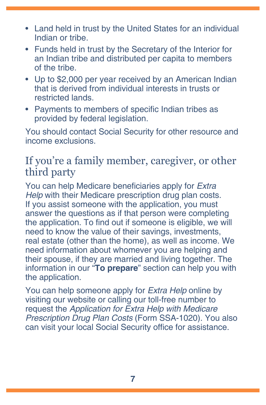- <span id="page-10-0"></span>• Land held in trust by the United States for an individual Indian or tribe.
- Funds held in trust by the Secretary of the Interior for an Indian tribe and distributed per capita to members of the tribe.
- Up to \$2,000 per year received by an American Indian that is derived from individual interests in trusts or restricted lands.
- Payments to members of specific Indian tribes as provided by federal legislation.

You should contact Social Security for other resource and income exclusions.

## If you're a family member, caregiver, or other third party

You can help Medicare beneficiaries apply for *Extra Help* with their Medicare prescription drug plan costs. If you assist someone with the application, you must answer the questions as if that person were completing the application. To find out if someone is eligible, we will need to know the value of their savings, investments, real estate (other than the home), as well as income. We need information about whomever you are helping and their spouse, if they are married and living together. The information in our "**[To prepare](#page-8-0)**" section can help you with the application.

You can help someone apply for *Extra Help* online by visiting our website or calling our toll-free number to request the *[Application for Extra Help with Medicare](https://secure.ssa.gov/i1020/start)  [Prescription Drug Plan Costs](https://secure.ssa.gov/i1020/start)* (Form SSA-1020). You also can visit your local Social Security office for assistance.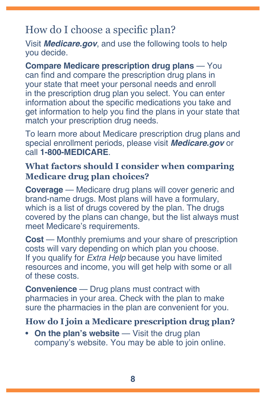## <span id="page-11-0"></span>How do I choose a specific plan?

Visit *M[edicare.gov](https://www.medicare.gov)*, and use the following tools to help you decide.

**Compare Medicare prescription drug plans** — You can find and compare the prescription drug plans in your state that meet your personal needs and enroll in the prescription drug plan you select. You can enter information about the specific medications you take and get information to help you find the plans in your state that match your prescription drug needs.

To learn more about Medicare prescription drug plans and special enrollment periods, please visit *[Medicare.gov](https://www.medicare.gov)* or call **1-800-MEDICARE**.

#### **What factors should I consider when comparing Medicare drug plan choices?**

**Coverage** — Medicare drug plans will cover generic and brand-name drugs. Most plans will have a formulary, which is a list of drugs covered by the plan. The drugs covered by the plans can change, but the list always must meet Medicare's requirements.

**Cost** — Monthly premiums and your share of prescription costs will vary depending on which plan you choose. If you qualify for *Extra Help* because you have limited resources and income, you will get help with some or all of these costs.

**Convenience** — Drug plans must contract with pharmacies in your area. Check with the plan to make sure the pharmacies in the plan are convenient for you.

#### **How do I join a Medicare prescription drug plan?**

• **On the plan's website** — Visit the drug plan company's website. You may be able to join online.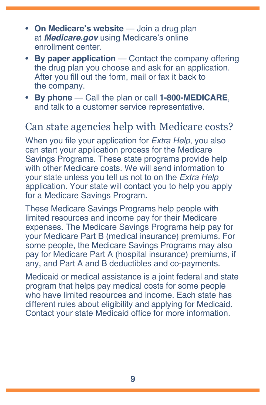- <span id="page-12-0"></span>• **On Medicare's website** — Join a drug plan at *[Medicare.gov](https://www.medicare.gov)* using Medicare's online enrollment center.
- **By paper application** Contact the company offering the drug plan you choose and ask for an application. After you fill out the form, mail or fax it back to the company.
- **By phone** Call the plan or call **1-800-MEDICARE**, and talk to a customer service representative.

## Can state agencies help with Medicare costs?

When you file your application for *Extra Help*, you also can start your application process for the Medicare Savings Programs. These state programs provide help with other Medicare costs. We will send information to your state unless you tell us not to on the *Extra Help* application. Your state will contact you to help you apply for a Medicare Savings Program.

These Medicare Savings Programs help people with limited resources and income pay for their Medicare expenses. The Medicare Savings Programs help pay for your Medicare Part B (medical insurance) premiums. For some people, the Medicare Savings Programs may also pay for Medicare Part A (hospital insurance) premiums, if any, and Part A and B deductibles and co-payments.

Medicaid or medical assistance is a joint federal and state program that helps pay medical costs for some people who have limited resources and income. Each state has different rules about eligibility and applying for Medicaid. Contact your state Medicaid office for more information.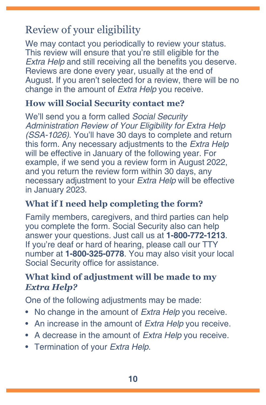## <span id="page-13-0"></span>Review of your eligibility

We may contact you periodically to review your status. This review will ensure that you're still eligible for the *Extra Help* and still receiving all the benefits you deserve. Reviews are done every year, usually at the end of August. If you aren't selected for a review, there will be no change in the amount of *Extra Help* you receive.

#### **How will Social Security contact me?**

We'll send you a form called *[Social Security](https://www.ssa.gov/forms/ssa-1026b-ocr-sm-inst.pdf)*  [Administration Review of Your Eligibility for Extra Help](https://www.ssa.gov/forms/ssa-1026b-ocr-sm-inst.pdf)  *[\(SSA-1026\)](https://www.ssa.gov/forms/ssa-1026b-ocr-sm-inst.pdf)*. You'll have 30 days to complete and return this form. Any necessary adjustments to the *Extra Help* will be effective in January of the following year. For example, if we send you a review form in August 2022, and you return the review form within 30 days, any necessary adjustment to your *Extra Help* will be effective in January 2023.

#### **What if I need help completing the form?**

Family members, caregivers, and third parties can help you complete the form. Social Security also can help answer your questions. Just call us at **1-800-772-1213**. If you're deaf or hard of hearing, please call our TTY number at **1-800-325-0778**. You may also visit your local Social Security office for assistance.

#### **What kind of adjustment will be made to my**  *Extra Help?*

One of the following adjustments may be made:

- No change in the amount of *Extra Help* you receive.
- An increase in the amount of *Extra Help* you receive.
- A decrease in the amount of *Extra Help* you receive.
- Termination of your *Extra Help*.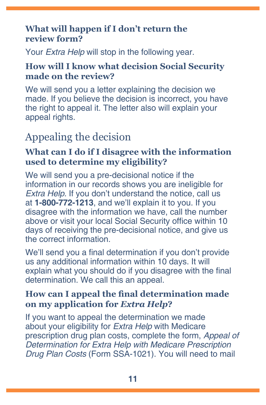#### <span id="page-14-0"></span>**What will happen if I don't return the review form?**

Your *Extra Help* will stop in the following year.

#### **How will I know what decision Social Security made on the review?**

We will send you a letter explaining the decision we made. If you believe the decision is incorrect, you have the right to appeal it. The letter also will explain your appeal rights.

## Appealing the decision

#### **What can I do if I disagree with the information used to determine my eligibility?**

We will send you a pre-decisional notice if the information in our records shows you are ineligible for *Extra Help*. If you don't understand the notice, call us at **1-800-772-1213**, and we'll explain it to you. If you disagree with the information we have, call the number above or visit your local Social Security office within 10 days of receiving the pre-decisional notice, and give us the correct information.

We'll send you a final determination if you don't provide us any additional information within 10 days. It will explain what you should do if you disagree with the final determination. We call this an appeal.

#### **How can I appeal the final determination made on my application for** *Extra Help***?**

If you want to appeal the determination we made about your eligibility for *Extra Help* with Medicare prescription drug plan costs, complete the form, *[Appeal of](https://www.ssa.gov/forms/ssa-1021.pdf)  [Determination for Extra Help with Medicare Prescription](https://www.ssa.gov/forms/ssa-1021.pdf)  Drug Plan Costs* [\(Form SSA-1021\).](https://www.ssa.gov/forms/ssa-1021.pdf) You will need to mail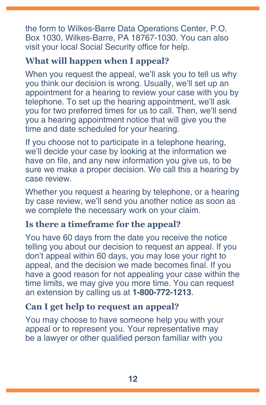the form to Wilkes-Barre Data Operations Center, P.O. Box 1030, Wilkes-Barre, PA 18767-1030. You can also visit your local Social Security office for help.

#### **What will happen when I appeal?**

When you request the appeal, we'll ask you to tell us why you think our decision is wrong. Usually, we'll set up an appointment for a hearing to review your case with you by telephone. To set up the hearing appointment, we'll ask you for two preferred times for us to call. Then, we'll send you a hearing appointment notice that will give you the time and date scheduled for your hearing.

If you choose not to participate in a telephone hearing, we'll decide your case by looking at the information we have on file, and any new information you give us, to be sure we make a proper decision. We call this a hearing by case review.

Whether you request a hearing by telephone, or a hearing by case review, we'll send you another notice as soon as we complete the necessary work on your claim.

#### **Is there a timeframe for the appeal?**

You have 60 days from the date you receive the notice telling you about our decision to request an appeal. If you don't appeal within 60 days, you may lose your right to appeal, and the decision we made becomes final. If you have a good reason for not appealing your case within the time limits, we may give you more time. You can request an extension by calling us at **1-800-772-1213**.

#### **Can I get help to request an appeal?**

You may choose to have someone help you with your appeal or to represent you. Your representative may be a lawyer or other qualified person familiar with you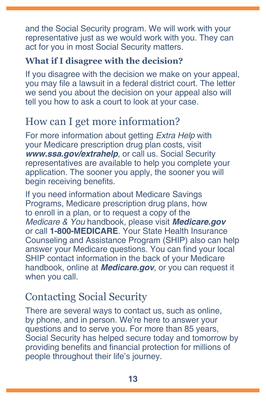<span id="page-16-0"></span>and the Social Security program. We will work with your representative just as we would work with you. They can act for you in most Social Security matters.

#### **What if I disagree with the decision?**

If you disagree with the decision we make on your appeal, you may file a lawsuit in a federal district court. The letter we send you about the decision on your appeal also will tell you how to ask a court to look at your case.

## How can I get more information?

For more information about getting *Extra Help* with your Medicare prescription drug plan costs, visit *[www.ssa.gov/extrahelp](https://www.ssa.gov/extrahelp)*, or call us. Social Security representatives are available to help you complete your application. The sooner you apply, the sooner you will begin receiving benefits.

If you need information about Medicare Savings Programs, Medicare prescription drug plans, how to enroll in a plan, or to request a copy of the [Medicare & You](https://www.medicare.gov/Pubs/pdf/10050-Medicare-and-You.pdf) handbook, please visit *[Medicare.gov](https://www.medicare.gov/)* or call **1-800-MEDICARE**. Your State Health Insurance Counseling and Assistance Program (SHIP) also can help answer your Medicare questions. You can find your local SHIP contact information in the back of your Medicare handbook, online at *M[edicare.gov](https://www.medicare.gov/)*, or you can request it when you call.

## Contacting Social Security

There are several ways to contact us, such as online, by phone, and in person. We're here to answer your questions and to serve you. For more than 85 years, Social Security has helped secure today and tomorrow by providing benefits and financial protection for millions of people throughout their life's journey.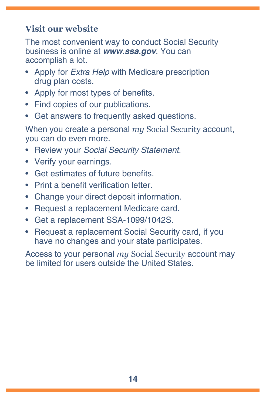#### **Visit our website**

The most convenient way to conduct Social Security business is online at *[www.ssa.gov](https://www.ssa.gov)*. You can accomplish a lot.

- Apply for *Extra Help* [with Medicare prescription](https://www.ssa.gov/i1020/)  [drug plan costs](https://www.ssa.gov/i1020/).
- [Apply for most types of benefits.](https://www.ssa.gov/applyforbenefits)
- [Find copies of our publications](https://www.ssa.gov/pubs/).
- [Get answers to frequently asked questions.](https://faq.ssa.gov/)

When you create a personal *my* [Social Security](https://www.ssa.gov/myaccount/) account, you can do even more.

- Review your *[Social Security Statement](https://www.ssa.gov/myaccount/statement.html)*.
- [Verify your earnings.](https://faq.ssa.gov/en-us/Topic/article/KA-01741)
- Get estimates of future benefits.
- [Print a benefit verification letter](https://www.ssa.gov/myaccount/proof-of-benefits.html).
- [Change your direct deposit information](https://www.ssa.gov/myaccount/direct-deposit.html).
- [Request a replacement Medicare card](https://faq.ssa.gov/en-us/Topic/article/KA-01735).
- Get a replacement [SSA-1099/1042S.](https://www.ssa.gov/myaccount/replacement-SSA-1099.html)
- Request a [replacement Social Security card](https://www.ssa.gov/myaccount/replacement-card.html), if you have no changes and your state participates.

Access to your personal *my* Social Security account may be limited for users outside the United States.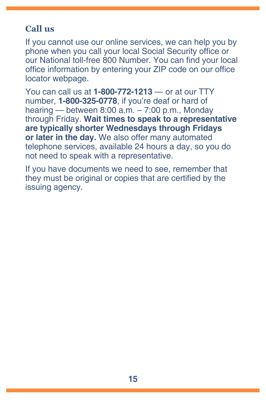#### **Call us**

If you cannot use our online services, we can help you by phone when you call your local Social Security office or our National toll-free 800 Number. You can find your local office information by entering your ZIP code on our [office](https://secure.ssa.gov/ICON/main.jsp)  [locator](https://secure.ssa.gov/ICON/main.jsp) webpage.

You can call us at **1-800-772-1213** — or at our TTY number, **1-800-325-0778**, if you're deaf or hard of hearing — between 8:00 a.m. – 7:00 p.m., Monday through Friday. **Wait times to speak to a representative are typically shorter Wednesdays through Fridays or later in the day.** We also offer many automated telephone services, available 24 hours a day, so you do not need to speak with a representative.

If you have documents we need to see, remember that they must be original or copies that are certified by the issuing agency.